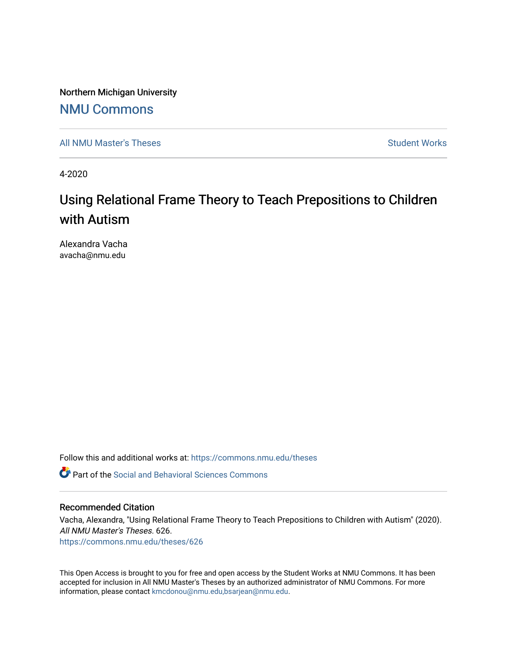Northern Michigan University

## [NMU Commons](https://commons.nmu.edu/)

[All NMU Master's Theses](https://commons.nmu.edu/theses) [Student Works](https://commons.nmu.edu/student_works) and Student Works Student Works Student Works

4-2020

# Using Relational Frame Theory to Teach Prepositions to Children with Autism

Alexandra Vacha avacha@nmu.edu

Follow this and additional works at: [https://commons.nmu.edu/theses](https://commons.nmu.edu/theses?utm_source=commons.nmu.edu%2Ftheses%2F626&utm_medium=PDF&utm_campaign=PDFCoverPages)

**P** Part of the Social and Behavioral Sciences Commons

#### Recommended Citation

Vacha, Alexandra, "Using Relational Frame Theory to Teach Prepositions to Children with Autism" (2020). All NMU Master's Theses. 626. [https://commons.nmu.edu/theses/626](https://commons.nmu.edu/theses/626?utm_source=commons.nmu.edu%2Ftheses%2F626&utm_medium=PDF&utm_campaign=PDFCoverPages) 

This Open Access is brought to you for free and open access by the Student Works at NMU Commons. It has been accepted for inclusion in All NMU Master's Theses by an authorized administrator of NMU Commons. For more information, please contact [kmcdonou@nmu.edu,bsarjean@nmu.edu](mailto:kmcdonou@nmu.edu,bsarjean@nmu.edu).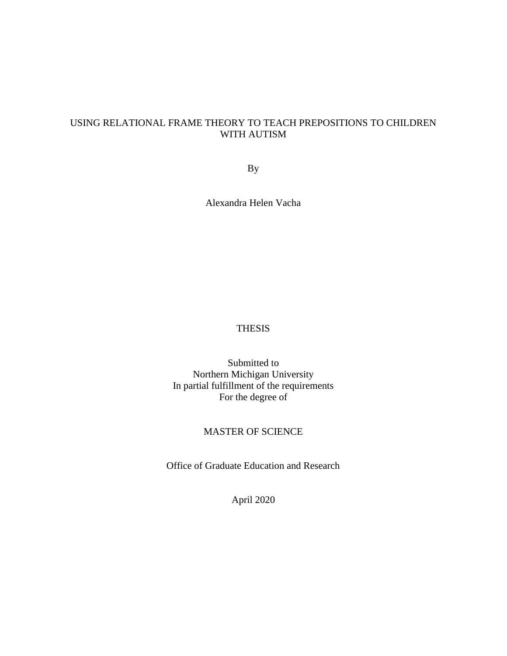## USING RELATIONAL FRAME THEORY TO TEACH PREPOSITIONS TO CHILDREN WITH AUTISM

By

Alexandra Helen Vacha

## THESIS

Submitted to Northern Michigan University In partial fulfillment of the requirements For the degree of

#### MASTER OF SCIENCE

Office of Graduate Education and Research

April 2020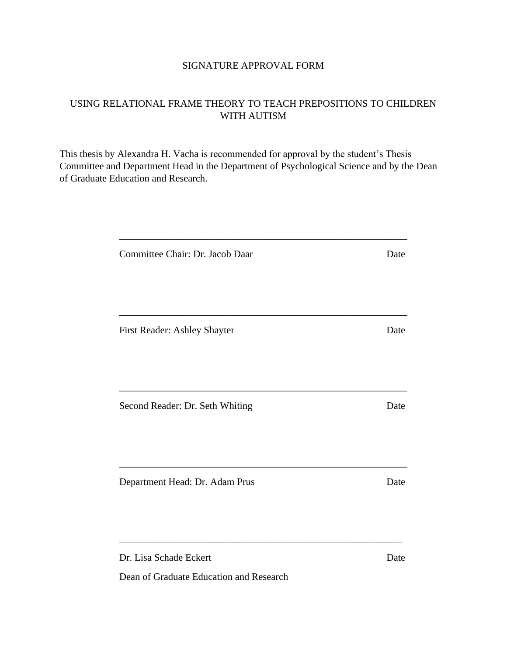## SIGNATURE APPROVAL FORM

## USING RELATIONAL FRAME THEORY TO TEACH PREPOSITIONS TO CHILDREN WITH AUTISM

This thesis by Alexandra H. Vacha is recommended for approval by the student's Thesis Committee and Department Head in the Department of Psychological Science and by the Dean of Graduate Education and Research.

| Committee Chair: Dr. Jacob Daar | Date |
|---------------------------------|------|
|                                 |      |
| First Reader: Ashley Shayter    | Date |
| Second Reader: Dr. Seth Whiting | Date |
| Department Head: Dr. Adam Prus  | Date |
| Dr. Lisa Schade Eckert          | Date |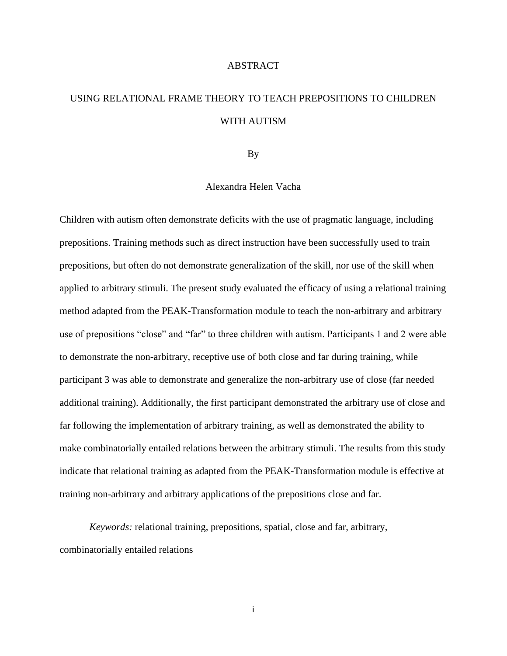#### ABSTRACT

## USING RELATIONAL FRAME THEORY TO TEACH PREPOSITIONS TO CHILDREN WITH AUTISM

By

#### Alexandra Helen Vacha

Children with autism often demonstrate deficits with the use of pragmatic language, including prepositions. Training methods such as direct instruction have been successfully used to train prepositions, but often do not demonstrate generalization of the skill, nor use of the skill when applied to arbitrary stimuli. The present study evaluated the efficacy of using a relational training method adapted from the PEAK-Transformation module to teach the non-arbitrary and arbitrary use of prepositions "close" and "far" to three children with autism. Participants 1 and 2 were able to demonstrate the non-arbitrary, receptive use of both close and far during training, while participant 3 was able to demonstrate and generalize the non-arbitrary use of close (far needed additional training). Additionally, the first participant demonstrated the arbitrary use of close and far following the implementation of arbitrary training, as well as demonstrated the ability to make combinatorially entailed relations between the arbitrary stimuli. The results from this study indicate that relational training as adapted from the PEAK-Transformation module is effective at training non-arbitrary and arbitrary applications of the prepositions close and far.

*Keywords:* relational training, prepositions, spatial, close and far, arbitrary, combinatorially entailed relations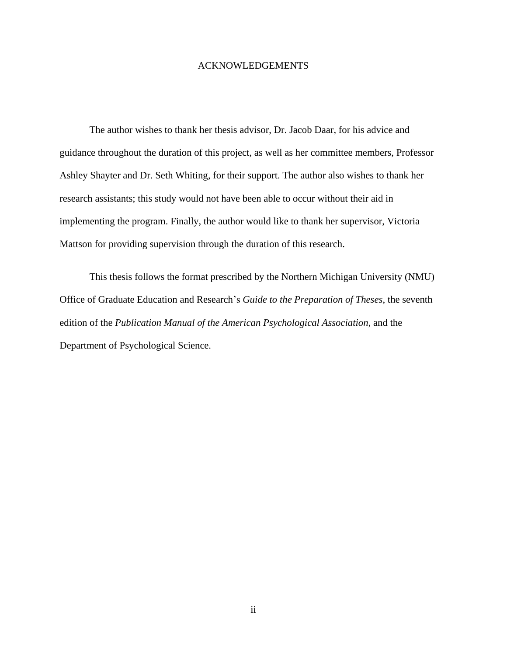#### ACKNOWLEDGEMENTS

The author wishes to thank her thesis advisor, Dr. Jacob Daar, for his advice and guidance throughout the duration of this project, as well as her committee members, Professor Ashley Shayter and Dr. Seth Whiting, for their support. The author also wishes to thank her research assistants; this study would not have been able to occur without their aid in implementing the program. Finally, the author would like to thank her supervisor, Victoria Mattson for providing supervision through the duration of this research.

This thesis follows the format prescribed by the Northern Michigan University (NMU) Office of Graduate Education and Research's *Guide to the Preparation of Theses*, the seventh edition of the *Publication Manual of the American Psychological Association*, and the Department of Psychological Science.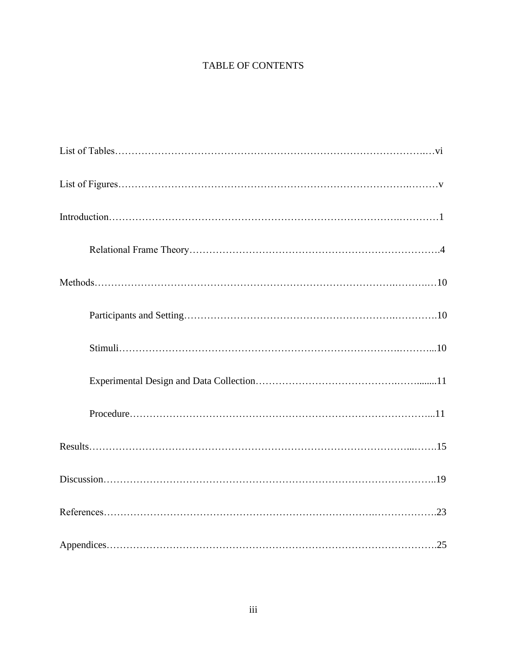## TABLE OF CONTENTS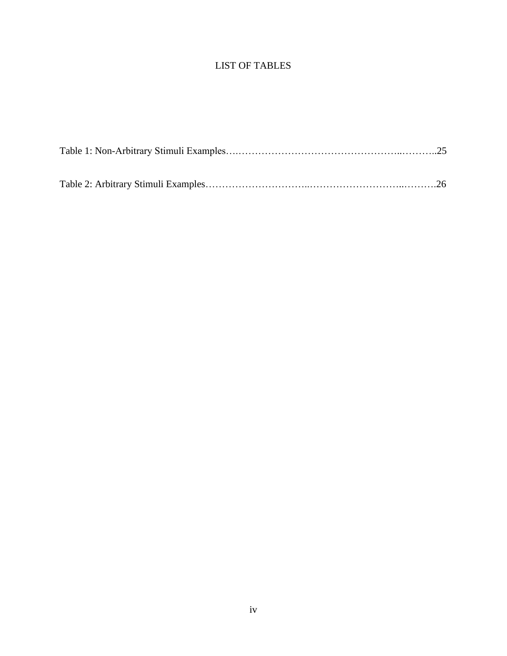## LIST OF TABLES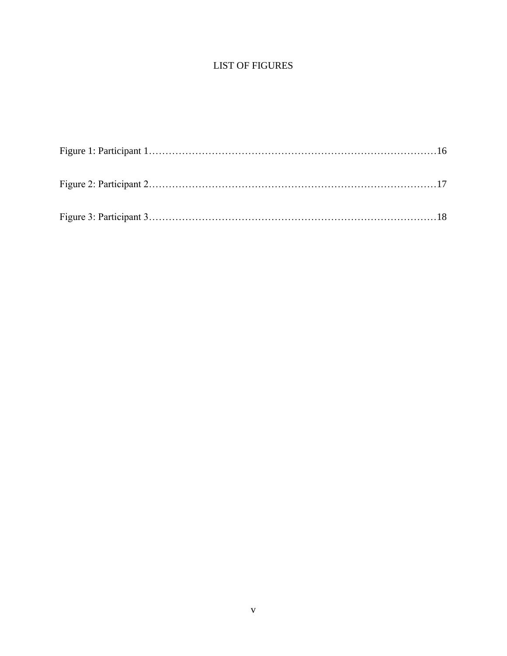## LIST OF FIGURES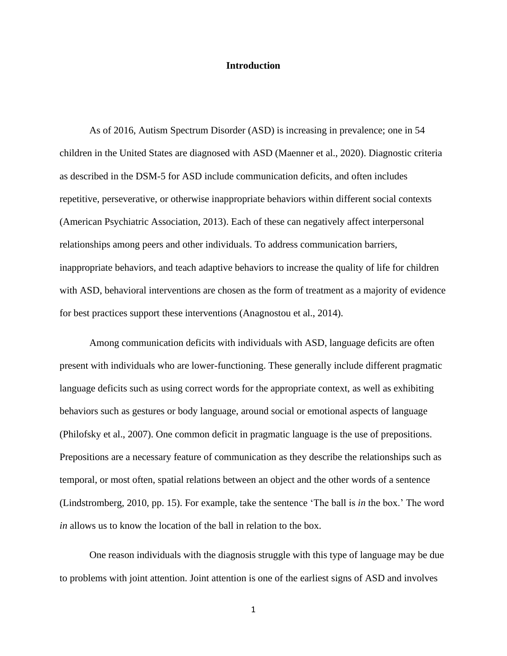#### **Introduction**

As of 2016, Autism Spectrum Disorder (ASD) is increasing in prevalence; one in 54 children in the United States are diagnosed with ASD (Maenner et al., 2020). Diagnostic criteria as described in the DSM-5 for ASD include communication deficits, and often includes repetitive, perseverative, or otherwise inappropriate behaviors within different social contexts (American Psychiatric Association, 2013). Each of these can negatively affect interpersonal relationships among peers and other individuals. To address communication barriers, inappropriate behaviors, and teach adaptive behaviors to increase the quality of life for children with ASD, behavioral interventions are chosen as the form of treatment as a majority of evidence for best practices support these interventions (Anagnostou et al., 2014).

Among communication deficits with individuals with ASD, language deficits are often present with individuals who are lower-functioning. These generally include different pragmatic language deficits such as using correct words for the appropriate context, as well as exhibiting behaviors such as gestures or body language, around social or emotional aspects of language (Philofsky et al., 2007). One common deficit in pragmatic language is the use of prepositions. Prepositions are a necessary feature of communication as they describe the relationships such as temporal, or most often, spatial relations between an object and the other words of a sentence (Lindstromberg, 2010, pp. 15). For example, take the sentence 'The ball is *in* the box.' The word *in* allows us to know the location of the ball in relation to the box.

One reason individuals with the diagnosis struggle with this type of language may be due to problems with joint attention. Joint attention is one of the earliest signs of ASD and involves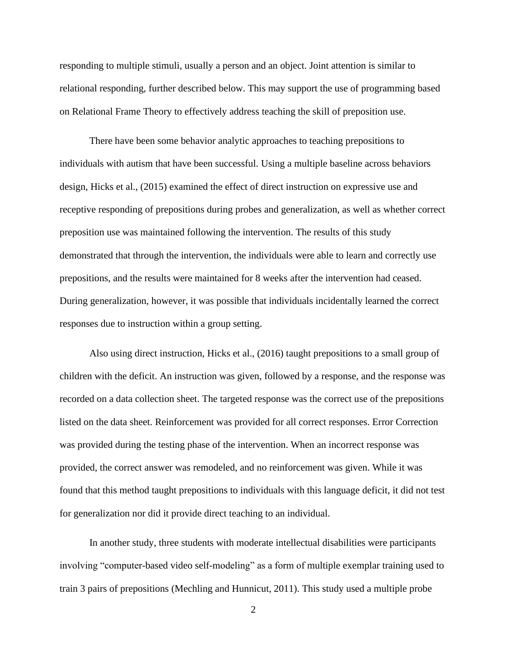responding to multiple stimuli, usually a person and an object. Joint attention is similar to relational responding, further described below. This may support the use of programming based on Relational Frame Theory to effectively address teaching the skill of preposition use.

There have been some behavior analytic approaches to teaching prepositions to individuals with autism that have been successful. Using a multiple baseline across behaviors design, Hicks et al., (2015) examined the effect of direct instruction on expressive use and receptive responding of prepositions during probes and generalization, as well as whether correct preposition use was maintained following the intervention. The results of this study demonstrated that through the intervention, the individuals were able to learn and correctly use prepositions, and the results were maintained for 8 weeks after the intervention had ceased. During generalization, however, it was possible that individuals incidentally learned the correct responses due to instruction within a group setting.

Also using direct instruction, Hicks et al., (2016) taught prepositions to a small group of children with the deficit. An instruction was given, followed by a response, and the response was recorded on a data collection sheet. The targeted response was the correct use of the prepositions listed on the data sheet. Reinforcement was provided for all correct responses. Error Correction was provided during the testing phase of the intervention. When an incorrect response was provided, the correct answer was remodeled, and no reinforcement was given. While it was found that this method taught prepositions to individuals with this language deficit, it did not test for generalization nor did it provide direct teaching to an individual.

In another study, three students with moderate intellectual disabilities were participants involving "computer-based video self-modeling" as a form of multiple exemplar training used to train 3 pairs of prepositions (Mechling and Hunnicut, 2011). This study used a multiple probe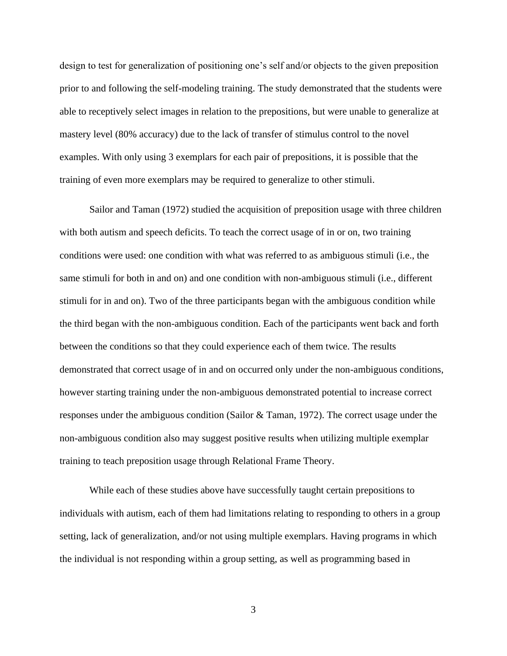design to test for generalization of positioning one's self and/or objects to the given preposition prior to and following the self-modeling training. The study demonstrated that the students were able to receptively select images in relation to the prepositions, but were unable to generalize at mastery level (80% accuracy) due to the lack of transfer of stimulus control to the novel examples. With only using 3 exemplars for each pair of prepositions, it is possible that the training of even more exemplars may be required to generalize to other stimuli.

Sailor and Taman (1972) studied the acquisition of preposition usage with three children with both autism and speech deficits. To teach the correct usage of in or on, two training conditions were used: one condition with what was referred to as ambiguous stimuli (i.e., the same stimuli for both in and on) and one condition with non-ambiguous stimuli (i.e., different stimuli for in and on). Two of the three participants began with the ambiguous condition while the third began with the non-ambiguous condition. Each of the participants went back and forth between the conditions so that they could experience each of them twice. The results demonstrated that correct usage of in and on occurred only under the non-ambiguous conditions, however starting training under the non-ambiguous demonstrated potential to increase correct responses under the ambiguous condition (Sailor & Taman, 1972). The correct usage under the non-ambiguous condition also may suggest positive results when utilizing multiple exemplar training to teach preposition usage through Relational Frame Theory.

While each of these studies above have successfully taught certain prepositions to individuals with autism, each of them had limitations relating to responding to others in a group setting, lack of generalization, and/or not using multiple exemplars. Having programs in which the individual is not responding within a group setting, as well as programming based in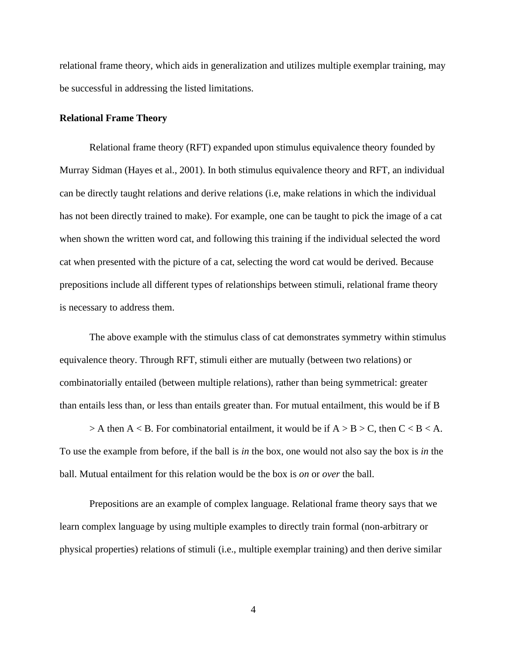relational frame theory, which aids in generalization and utilizes multiple exemplar training, may be successful in addressing the listed limitations.

#### **Relational Frame Theory**

Relational frame theory (RFT) expanded upon stimulus equivalence theory founded by Murray Sidman (Hayes et al., 2001). In both stimulus equivalence theory and RFT, an individual can be directly taught relations and derive relations (i.e, make relations in which the individual has not been directly trained to make). For example, one can be taught to pick the image of a cat when shown the written word cat, and following this training if the individual selected the word cat when presented with the picture of a cat, selecting the word cat would be derived. Because prepositions include all different types of relationships between stimuli, relational frame theory is necessary to address them.

The above example with the stimulus class of cat demonstrates symmetry within stimulus equivalence theory. Through RFT, stimuli either are mutually (between two relations) or combinatorially entailed (between multiple relations), rather than being symmetrical: greater than entails less than, or less than entails greater than. For mutual entailment, this would be if B

 $> A$  then A < B. For combinatorial entailment, it would be if A  $> B$  > C, then C < B < A. To use the example from before, if the ball is *in* the box, one would not also say the box is *in* the ball. Mutual entailment for this relation would be the box is *on* or *over* the ball.

Prepositions are an example of complex language. Relational frame theory says that we learn complex language by using multiple examples to directly train formal (non-arbitrary or physical properties) relations of stimuli (i.e., multiple exemplar training) and then derive similar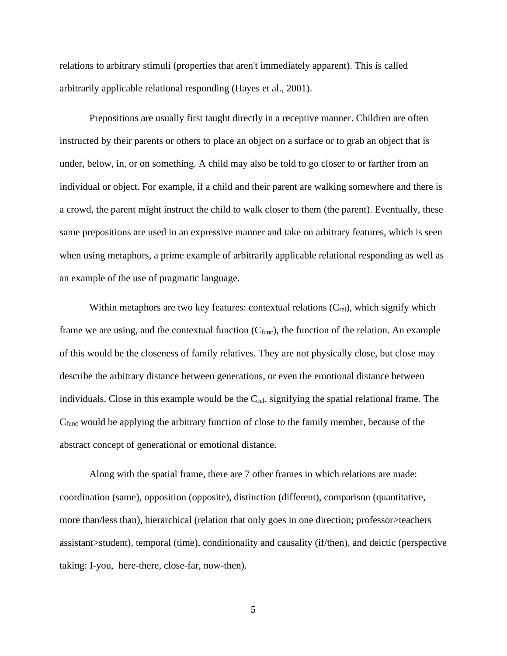relations to arbitrary stimuli (properties that aren't immediately apparent). This is called arbitrarily applicable relational responding (Hayes et al., 2001).

Prepositions are usually first taught directly in a receptive manner. Children are often instructed by their parents or others to place an object on a surface or to grab an object that is under, below, in, or on something. A child may also be told to go closer to or farther from an individual or object. For example, if a child and their parent are walking somewhere and there is a crowd, the parent might instruct the child to walk closer to them (the parent). Eventually, these same prepositions are used in an expressive manner and take on arbitrary features, which is seen when using metaphors, a prime example of arbitrarily applicable relational responding as well as an example of the use of pragmatic language.

Within metaphors are two key features: contextual relations  $(C_{rel})$ , which signify which frame we are using, and the contextual function  $(C<sub>func</sub>)$ , the function of the relation. An example of this would be the closeness of family relatives. They are not physically close, but close may describe the arbitrary distance between generations, or even the emotional distance between individuals. Close in this example would be the  $C_{rel}$ , signifying the spatial relational frame. The Cfunc would be applying the arbitrary function of close to the family member, because of the abstract concept of generational or emotional distance.

Along with the spatial frame, there are 7 other frames in which relations are made: coordination (same), opposition (opposite), distinction (different), comparison (quantitative, more than/less than), hierarchical (relation that only goes in one direction; professor>teachers assistant>student), temporal (time), conditionality and causality (if/then), and deictic (perspective taking: I-you, here-there, close-far, now-then).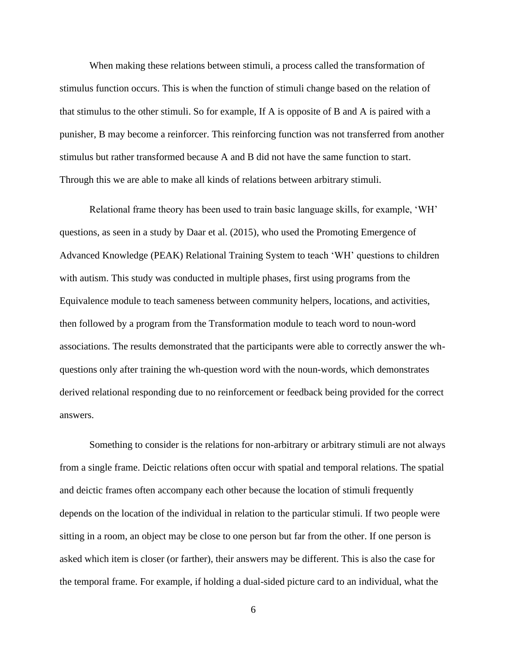When making these relations between stimuli, a process called the transformation of stimulus function occurs. This is when the function of stimuli change based on the relation of that stimulus to the other stimuli. So for example, If A is opposite of B and A is paired with a punisher, B may become a reinforcer. This reinforcing function was not transferred from another stimulus but rather transformed because A and B did not have the same function to start. Through this we are able to make all kinds of relations between arbitrary stimuli.

Relational frame theory has been used to train basic language skills, for example, 'WH' questions, as seen in a study by Daar et al. (2015), who used the Promoting Emergence of Advanced Knowledge (PEAK) Relational Training System to teach 'WH' questions to children with autism. This study was conducted in multiple phases, first using programs from the Equivalence module to teach sameness between community helpers, locations, and activities, then followed by a program from the Transformation module to teach word to noun-word associations. The results demonstrated that the participants were able to correctly answer the whquestions only after training the wh-question word with the noun-words, which demonstrates derived relational responding due to no reinforcement or feedback being provided for the correct answers.

Something to consider is the relations for non-arbitrary or arbitrary stimuli are not always from a single frame. Deictic relations often occur with spatial and temporal relations. The spatial and deictic frames often accompany each other because the location of stimuli frequently depends on the location of the individual in relation to the particular stimuli. If two people were sitting in a room, an object may be close to one person but far from the other. If one person is asked which item is closer (or farther), their answers may be different. This is also the case for the temporal frame. For example, if holding a dual-sided picture card to an individual, what the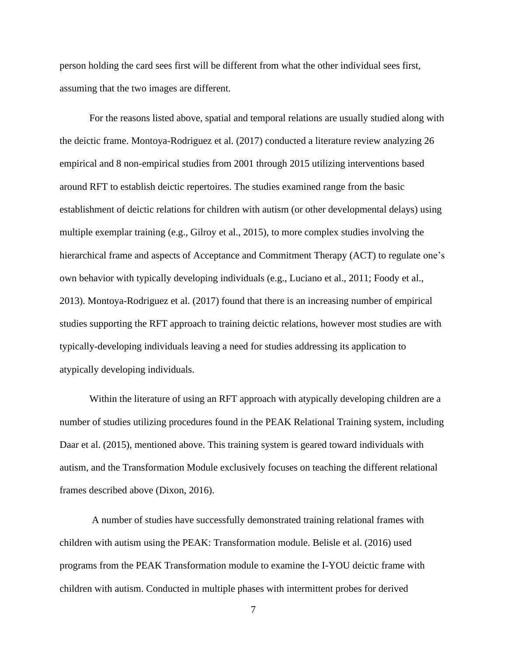person holding the card sees first will be different from what the other individual sees first, assuming that the two images are different.

For the reasons listed above, spatial and temporal relations are usually studied along with the deictic frame. Montoya-Rodriguez et al. (2017) conducted a literature review analyzing 26 empirical and 8 non-empirical studies from 2001 through 2015 utilizing interventions based around RFT to establish deictic repertoires. The studies examined range from the basic establishment of deictic relations for children with autism (or other developmental delays) using multiple exemplar training (e.g., Gilroy et al., 2015), to more complex studies involving the hierarchical frame and aspects of Acceptance and Commitment Therapy (ACT) to regulate one's own behavior with typically developing individuals (e.g., Luciano et al., 2011; Foody et al., 2013). Montoya-Rodriguez et al. (2017) found that there is an increasing number of empirical studies supporting the RFT approach to training deictic relations, however most studies are with typically-developing individuals leaving a need for studies addressing its application to atypically developing individuals.

Within the literature of using an RFT approach with atypically developing children are a number of studies utilizing procedures found in the PEAK Relational Training system, including Daar et al. (2015), mentioned above. This training system is geared toward individuals with autism, and the Transformation Module exclusively focuses on teaching the different relational frames described above (Dixon, 2016).

A number of studies have successfully demonstrated training relational frames with children with autism using the PEAK: Transformation module. Belisle et al. (2016) used programs from the PEAK Transformation module to examine the I-YOU deictic frame with children with autism. Conducted in multiple phases with intermittent probes for derived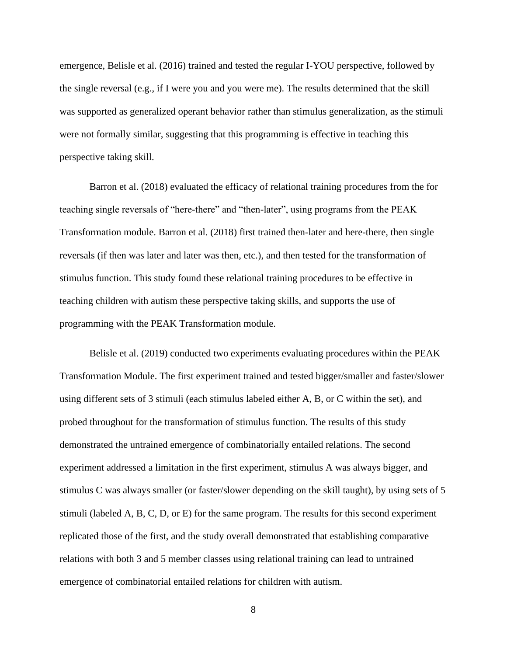emergence, Belisle et al. (2016) trained and tested the regular I-YOU perspective, followed by the single reversal (e.g., if I were you and you were me). The results determined that the skill was supported as generalized operant behavior rather than stimulus generalization, as the stimuli were not formally similar, suggesting that this programming is effective in teaching this perspective taking skill.

Barron et al. (2018) evaluated the efficacy of relational training procedures from the for teaching single reversals of "here-there" and "then-later", using programs from the PEAK Transformation module. Barron et al. (2018) first trained then-later and here-there, then single reversals (if then was later and later was then, etc.), and then tested for the transformation of stimulus function. This study found these relational training procedures to be effective in teaching children with autism these perspective taking skills, and supports the use of programming with the PEAK Transformation module.

Belisle et al. (2019) conducted two experiments evaluating procedures within the PEAK Transformation Module. The first experiment trained and tested bigger/smaller and faster/slower using different sets of 3 stimuli (each stimulus labeled either A, B, or C within the set), and probed throughout for the transformation of stimulus function. The results of this study demonstrated the untrained emergence of combinatorially entailed relations. The second experiment addressed a limitation in the first experiment, stimulus A was always bigger, and stimulus C was always smaller (or faster/slower depending on the skill taught), by using sets of 5 stimuli (labeled A, B, C, D, or E) for the same program. The results for this second experiment replicated those of the first, and the study overall demonstrated that establishing comparative relations with both 3 and 5 member classes using relational training can lead to untrained emergence of combinatorial entailed relations for children with autism.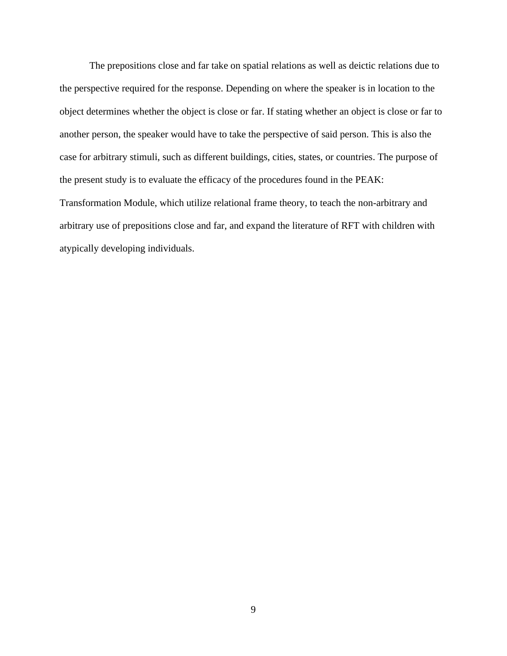The prepositions close and far take on spatial relations as well as deictic relations due to the perspective required for the response. Depending on where the speaker is in location to the object determines whether the object is close or far. If stating whether an object is close or far to another person, the speaker would have to take the perspective of said person. This is also the case for arbitrary stimuli, such as different buildings, cities, states, or countries. The purpose of the present study is to evaluate the efficacy of the procedures found in the PEAK: Transformation Module, which utilize relational frame theory, to teach the non-arbitrary and arbitrary use of prepositions close and far, and expand the literature of RFT with children with atypically developing individuals.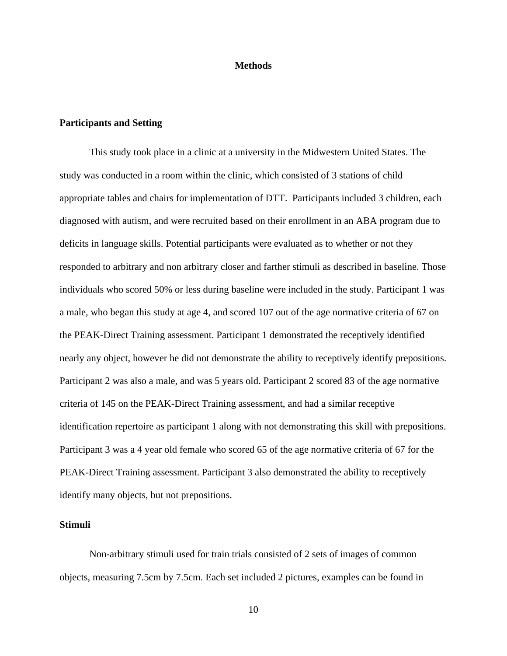#### **Methods**

#### **Participants and Setting**

This study took place in a clinic at a university in the Midwestern United States. The study was conducted in a room within the clinic, which consisted of 3 stations of child appropriate tables and chairs for implementation of DTT. Participants included 3 children, each diagnosed with autism, and were recruited based on their enrollment in an ABA program due to deficits in language skills. Potential participants were evaluated as to whether or not they responded to arbitrary and non arbitrary closer and farther stimuli as described in baseline. Those individuals who scored 50% or less during baseline were included in the study. Participant 1 was a male, who began this study at age 4, and scored 107 out of the age normative criteria of 67 on the PEAK-Direct Training assessment. Participant 1 demonstrated the receptively identified nearly any object, however he did not demonstrate the ability to receptively identify prepositions. Participant 2 was also a male, and was 5 years old. Participant 2 scored 83 of the age normative criteria of 145 on the PEAK-Direct Training assessment, and had a similar receptive identification repertoire as participant 1 along with not demonstrating this skill with prepositions. Participant 3 was a 4 year old female who scored 65 of the age normative criteria of 67 for the PEAK-Direct Training assessment. Participant 3 also demonstrated the ability to receptively identify many objects, but not prepositions.

#### **Stimuli**

Non-arbitrary stimuli used for train trials consisted of 2 sets of images of common objects, measuring 7.5cm by 7.5cm. Each set included 2 pictures, examples can be found in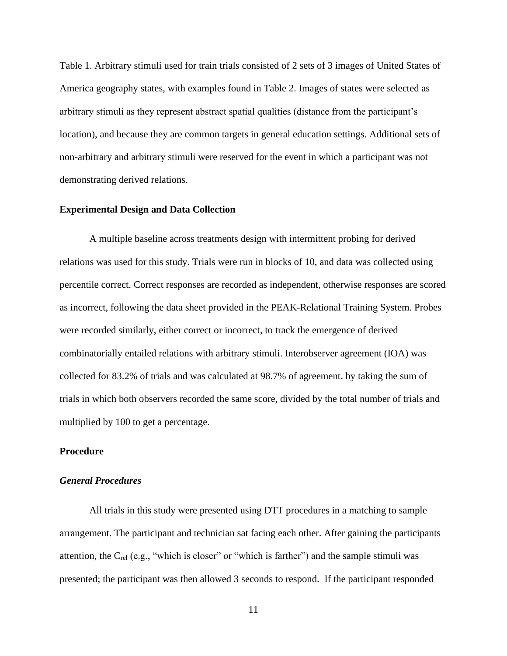Table 1. Arbitrary stimuli used for train trials consisted of 2 sets of 3 images of United States of America geography states, with examples found in Table 2. Images of states were selected as arbitrary stimuli as they represent abstract spatial qualities (distance from the participant's location), and because they are common targets in general education settings. Additional sets of non-arbitrary and arbitrary stimuli were reserved for the event in which a participant was not demonstrating derived relations.

#### **Experimental Design and Data Collection**

A multiple baseline across treatments design with intermittent probing for derived relations was used for this study. Trials were run in blocks of 10, and data was collected using percentile correct. Correct responses are recorded as independent, otherwise responses are scored as incorrect, following the data sheet provided in the PEAK-Relational Training System. Probes were recorded similarly, either correct or incorrect, to track the emergence of derived combinatorially entailed relations with arbitrary stimuli. Interobserver agreement (IOA) was collected for 83.2% of trials and was calculated at 98.7% of agreement. by taking the sum of trials in which both observers recorded the same score, divided by the total number of trials and multiplied by 100 to get a percentage.

#### **Procedure**

#### *General Procedures*

All trials in this study were presented using DTT procedures in a matching to sample arrangement. The participant and technician sat facing each other. After gaining the participants attention, the Crel (e.g., "which is closer" or "which is farther") and the sample stimuli was presented; the participant was then allowed 3 seconds to respond. If the participant responded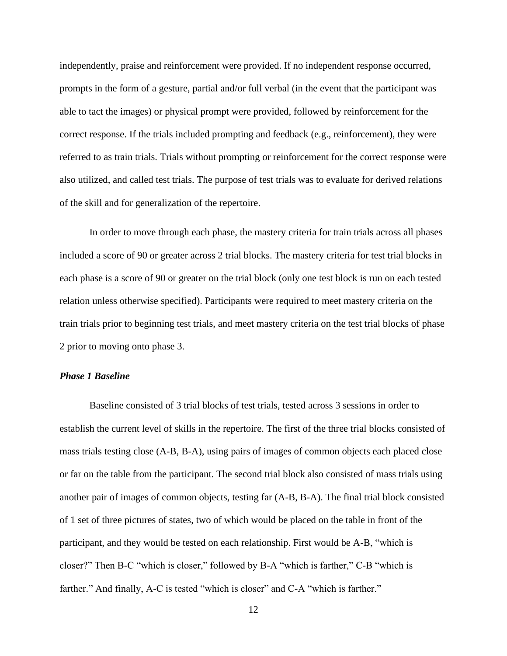independently, praise and reinforcement were provided. If no independent response occurred, prompts in the form of a gesture, partial and/or full verbal (in the event that the participant was able to tact the images) or physical prompt were provided, followed by reinforcement for the correct response. If the trials included prompting and feedback (e.g., reinforcement), they were referred to as train trials. Trials without prompting or reinforcement for the correct response were also utilized, and called test trials. The purpose of test trials was to evaluate for derived relations of the skill and for generalization of the repertoire.

In order to move through each phase, the mastery criteria for train trials across all phases included a score of 90 or greater across 2 trial blocks. The mastery criteria for test trial blocks in each phase is a score of 90 or greater on the trial block (only one test block is run on each tested relation unless otherwise specified). Participants were required to meet mastery criteria on the train trials prior to beginning test trials, and meet mastery criteria on the test trial blocks of phase 2 prior to moving onto phase 3.

#### *Phase 1 Baseline*

Baseline consisted of 3 trial blocks of test trials, tested across 3 sessions in order to establish the current level of skills in the repertoire. The first of the three trial blocks consisted of mass trials testing close (A-B, B-A), using pairs of images of common objects each placed close or far on the table from the participant. The second trial block also consisted of mass trials using another pair of images of common objects, testing far (A-B, B-A). The final trial block consisted of 1 set of three pictures of states, two of which would be placed on the table in front of the participant, and they would be tested on each relationship. First would be A-B, "which is closer?" Then B-C "which is closer," followed by B-A "which is farther," C-B "which is farther." And finally, A-C is tested "which is closer" and C-A "which is farther."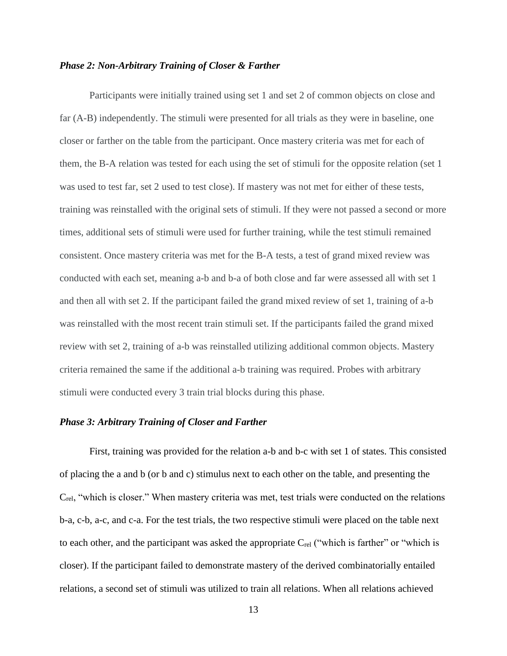#### *Phase 2: Non-Arbitrary Training of Closer & Farther*

Participants were initially trained using set 1 and set 2 of common objects on close and far (A-B) independently. The stimuli were presented for all trials as they were in baseline, one closer or farther on the table from the participant. Once mastery criteria was met for each of them, the B-A relation was tested for each using the set of stimuli for the opposite relation (set 1 was used to test far, set 2 used to test close). If mastery was not met for either of these tests, training was reinstalled with the original sets of stimuli. If they were not passed a second or more times, additional sets of stimuli were used for further training, while the test stimuli remained consistent. Once mastery criteria was met for the B-A tests, a test of grand mixed review was conducted with each set, meaning a-b and b-a of both close and far were assessed all with set 1 and then all with set 2. If the participant failed the grand mixed review of set 1, training of a-b was reinstalled with the most recent train stimuli set. If the participants failed the grand mixed review with set 2, training of a-b was reinstalled utilizing additional common objects. Mastery criteria remained the same if the additional a-b training was required. Probes with arbitrary stimuli were conducted every 3 train trial blocks during this phase.

#### *Phase 3: Arbitrary Training of Closer and Farther*

First, training was provided for the relation a-b and b-c with set 1 of states. This consisted of placing the a and b (or b and c) stimulus next to each other on the table, and presenting the Crel, "which is closer." When mastery criteria was met, test trials were conducted on the relations b-a, c-b, a-c, and c-a. For the test trials, the two respective stimuli were placed on the table next to each other, and the participant was asked the appropriate  $C_{rel}$  ("which is farther" or "which is closer). If the participant failed to demonstrate mastery of the derived combinatorially entailed relations, a second set of stimuli was utilized to train all relations. When all relations achieved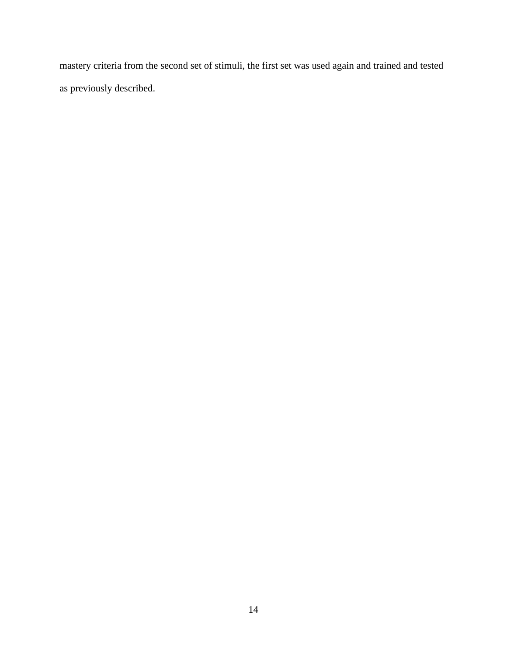mastery criteria from the second set of stimuli, the first set was used again and trained and tested as previously described.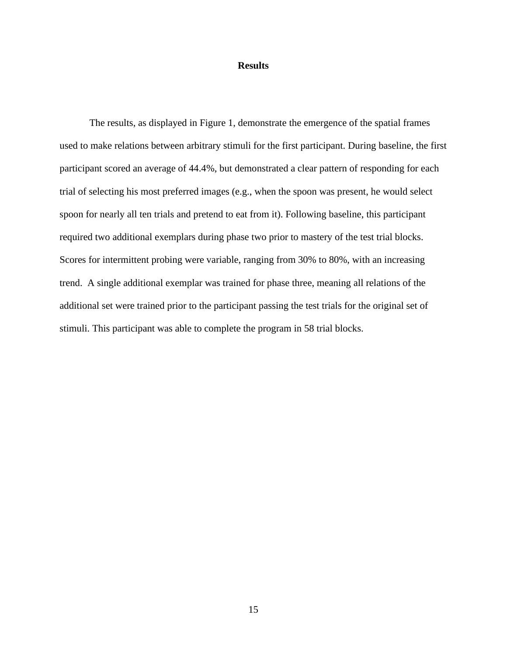#### **Results**

The results, as displayed in Figure 1, demonstrate the emergence of the spatial frames used to make relations between arbitrary stimuli for the first participant. During baseline, the first participant scored an average of 44.4%, but demonstrated a clear pattern of responding for each trial of selecting his most preferred images (e.g., when the spoon was present, he would select spoon for nearly all ten trials and pretend to eat from it). Following baseline, this participant required two additional exemplars during phase two prior to mastery of the test trial blocks. Scores for intermittent probing were variable, ranging from 30% to 80%, with an increasing trend. A single additional exemplar was trained for phase three, meaning all relations of the additional set were trained prior to the participant passing the test trials for the original set of stimuli. This participant was able to complete the program in 58 trial blocks.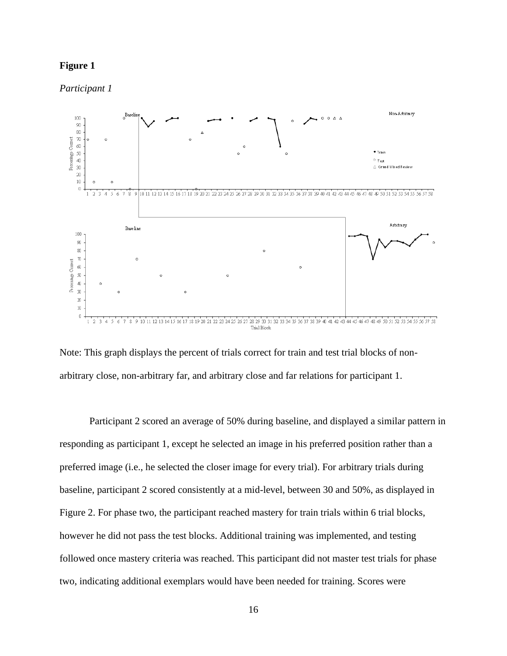#### **Figure 1**

*Participant 1*





Participant 2 scored an average of 50% during baseline, and displayed a similar pattern in responding as participant 1, except he selected an image in his preferred position rather than a preferred image (i.e., he selected the closer image for every trial). For arbitrary trials during baseline, participant 2 scored consistently at a mid-level, between 30 and 50%, as displayed in Figure 2. For phase two, the participant reached mastery for train trials within 6 trial blocks, however he did not pass the test blocks. Additional training was implemented, and testing followed once mastery criteria was reached. This participant did not master test trials for phase two, indicating additional exemplars would have been needed for training. Scores were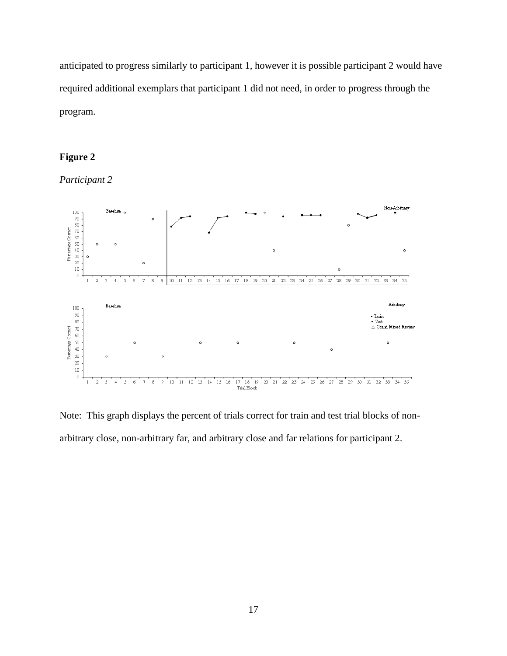anticipated to progress similarly to participant 1, however it is possible participant 2 would have required additional exemplars that participant 1 did not need, in order to progress through the program.

## **Figure 2**

*Participant 2*



Note: This graph displays the percent of trials correct for train and test trial blocks of nonarbitrary close, non-arbitrary far, and arbitrary close and far relations for participant 2.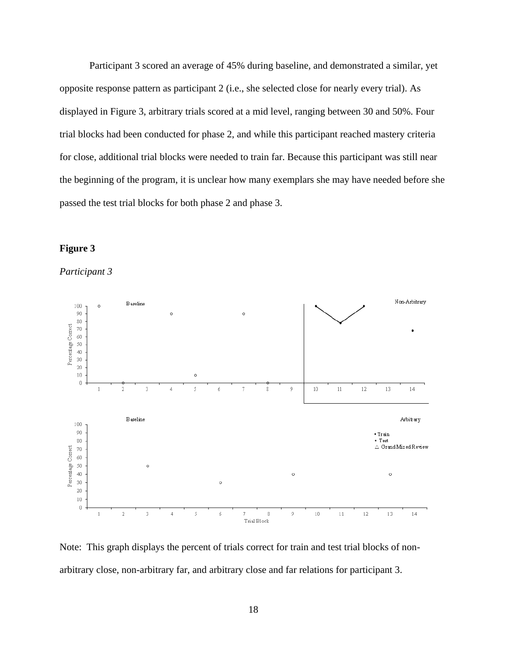Participant 3 scored an average of 45% during baseline, and demonstrated a similar, yet opposite response pattern as participant 2 (i.e., she selected close for nearly every trial). As displayed in Figure 3, arbitrary trials scored at a mid level, ranging between 30 and 50%. Four trial blocks had been conducted for phase 2, and while this participant reached mastery criteria for close, additional trial blocks were needed to train far. Because this participant was still near the beginning of the program, it is unclear how many exemplars she may have needed before she passed the test trial blocks for both phase 2 and phase 3.





*Participant 3*

Note: This graph displays the percent of trials correct for train and test trial blocks of nonarbitrary close, non-arbitrary far, and arbitrary close and far relations for participant 3.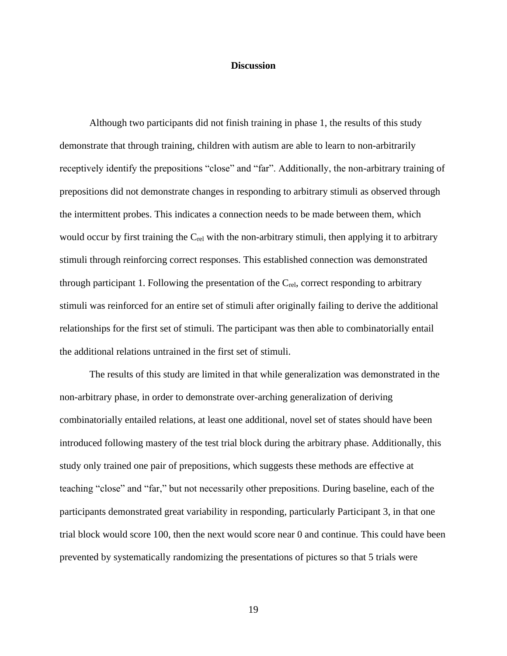#### **Discussion**

Although two participants did not finish training in phase 1, the results of this study demonstrate that through training, children with autism are able to learn to non-arbitrarily receptively identify the prepositions "close" and "far". Additionally, the non-arbitrary training of prepositions did not demonstrate changes in responding to arbitrary stimuli as observed through the intermittent probes. This indicates a connection needs to be made between them, which would occur by first training the Crel with the non-arbitrary stimuli, then applying it to arbitrary stimuli through reinforcing correct responses. This established connection was demonstrated through participant 1. Following the presentation of the  $C_{rel}$ , correct responding to arbitrary stimuli was reinforced for an entire set of stimuli after originally failing to derive the additional relationships for the first set of stimuli. The participant was then able to combinatorially entail the additional relations untrained in the first set of stimuli.

The results of this study are limited in that while generalization was demonstrated in the non-arbitrary phase, in order to demonstrate over-arching generalization of deriving combinatorially entailed relations, at least one additional, novel set of states should have been introduced following mastery of the test trial block during the arbitrary phase. Additionally, this study only trained one pair of prepositions, which suggests these methods are effective at teaching "close" and "far," but not necessarily other prepositions. During baseline, each of the participants demonstrated great variability in responding, particularly Participant 3, in that one trial block would score 100, then the next would score near 0 and continue. This could have been prevented by systematically randomizing the presentations of pictures so that 5 trials were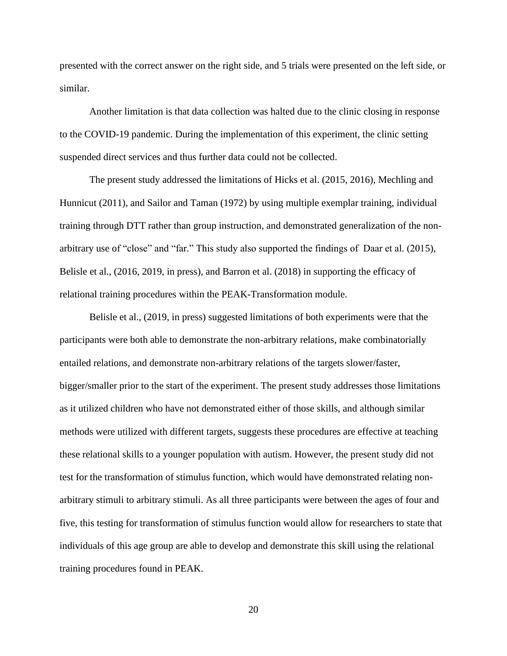presented with the correct answer on the right side, and 5 trials were presented on the left side, or similar.

Another limitation is that data collection was halted due to the clinic closing in response to the COVID-19 pandemic. During the implementation of this experiment, the clinic setting suspended direct services and thus further data could not be collected.

The present study addressed the limitations of Hicks et al. (2015, 2016), Mechling and Hunnicut (2011), and Sailor and Taman (1972) by using multiple exemplar training, individual training through DTT rather than group instruction, and demonstrated generalization of the nonarbitrary use of "close" and "far." This study also supported the findings of Daar et al. (2015), Belisle et al., (2016, 2019, in press), and Barron et al. (2018) in supporting the efficacy of relational training procedures within the PEAK-Transformation module.

Belisle et al., (2019, in press) suggested limitations of both experiments were that the participants were both able to demonstrate the non-arbitrary relations, make combinatorially entailed relations, and demonstrate non-arbitrary relations of the targets slower/faster, bigger/smaller prior to the start of the experiment. The present study addresses those limitations as it utilized children who have not demonstrated either of those skills, and although similar methods were utilized with different targets, suggests these procedures are effective at teaching these relational skills to a younger population with autism. However, the present study did not test for the transformation of stimulus function, which would have demonstrated relating nonarbitrary stimuli to arbitrary stimuli. As all three participants were between the ages of four and five, this testing for transformation of stimulus function would allow for researchers to state that individuals of this age group are able to develop and demonstrate this skill using the relational training procedures found in PEAK.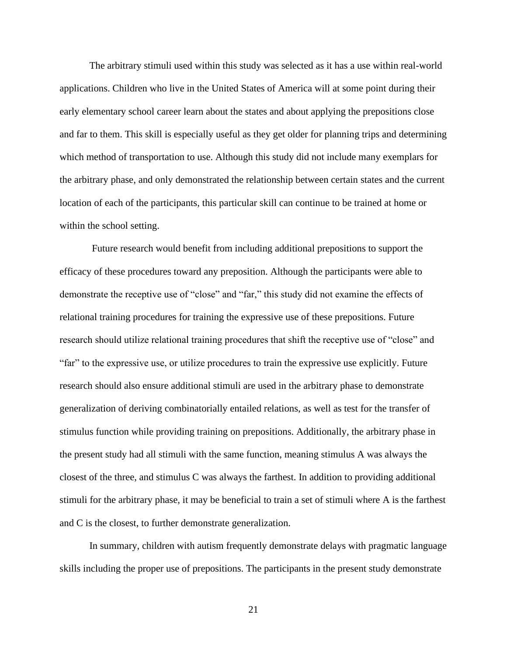The arbitrary stimuli used within this study was selected as it has a use within real-world applications. Children who live in the United States of America will at some point during their early elementary school career learn about the states and about applying the prepositions close and far to them. This skill is especially useful as they get older for planning trips and determining which method of transportation to use. Although this study did not include many exemplars for the arbitrary phase, and only demonstrated the relationship between certain states and the current location of each of the participants, this particular skill can continue to be trained at home or within the school setting.

Future research would benefit from including additional prepositions to support the efficacy of these procedures toward any preposition. Although the participants were able to demonstrate the receptive use of "close" and "far," this study did not examine the effects of relational training procedures for training the expressive use of these prepositions. Future research should utilize relational training procedures that shift the receptive use of "close" and "far" to the expressive use, or utilize procedures to train the expressive use explicitly. Future research should also ensure additional stimuli are used in the arbitrary phase to demonstrate generalization of deriving combinatorially entailed relations, as well as test for the transfer of stimulus function while providing training on prepositions. Additionally, the arbitrary phase in the present study had all stimuli with the same function, meaning stimulus A was always the closest of the three, and stimulus C was always the farthest. In addition to providing additional stimuli for the arbitrary phase, it may be beneficial to train a set of stimuli where A is the farthest and C is the closest, to further demonstrate generalization.

In summary, children with autism frequently demonstrate delays with pragmatic language skills including the proper use of prepositions. The participants in the present study demonstrate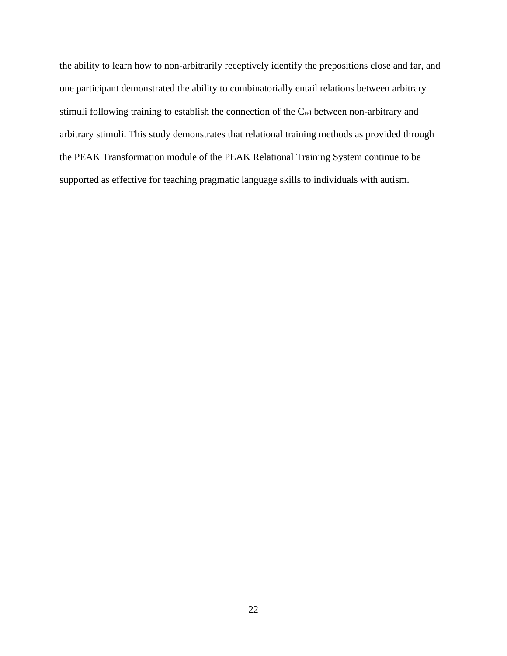the ability to learn how to non-arbitrarily receptively identify the prepositions close and far, and one participant demonstrated the ability to combinatorially entail relations between arbitrary stimuli following training to establish the connection of the Crel between non-arbitrary and arbitrary stimuli. This study demonstrates that relational training methods as provided through the PEAK Transformation module of the PEAK Relational Training System continue to be supported as effective for teaching pragmatic language skills to individuals with autism.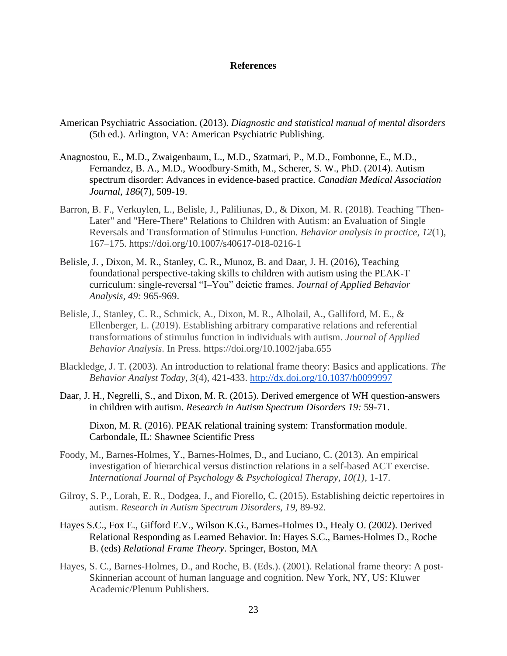#### **References**

- American Psychiatric Association. (2013). *Diagnostic and statistical manual of mental disorders*  (5th ed.). Arlington, VA: American Psychiatric Publishing.
- Anagnostou, E., M.D., Zwaigenbaum, L., M.D., Szatmari, P., M.D., Fombonne, E., M.D., Fernandez, B. A., M.D., Woodbury-Smith, M., Scherer, S. W., PhD. (2014). Autism spectrum disorder: Advances in evidence-based practice. *Canadian Medical Association Journal, 186*(7), 509-19.
- Barron, B. F., Verkuylen, L., Belisle, J., Paliliunas, D., & Dixon, M. R. (2018). Teaching "Then-Later" and "Here-There" Relations to Children with Autism: an Evaluation of Single Reversals and Transformation of Stimulus Function. *Behavior analysis in practice*, *12*(1), 167–175. https://doi.org/10.1007/s40617-018-0216-1
- Belisle, J. , Dixon, M. R., Stanley, C. R., Munoz, B. and Daar, J. H. (2016), Teaching foundational perspective‐taking skills to children with autism using the PEAK‐T curriculum: single‐reversal "I–You" deictic frames. *Journal of Applied Behavior Analysis, 49:* 965-969.
- Belisle, J., Stanley, C. R., Schmick, A., Dixon, M. R., Alholail, A., Galliford, M. E., & Ellenberger, L. (2019). Establishing arbitrary comparative relations and referential transformations of stimulus function in individuals with autism. *Journal of Applied Behavior Analysis*. In Press. https://doi.org/10.1002/jaba.655
- Blackledge, J. T. (2003). An introduction to relational frame theory: Basics and applications. *The Behavior Analyst Today, 3*(4), 421-433.<http://dx.doi.org/10.1037/h0099997>
- Daar, J. H., Negrelli, S., and Dixon, M. R. (2015). Derived emergence of WH question-answers in children with autism. *Research in Autism Spectrum Disorders 19:* 59-71.

Dixon, M. R. (2016). PEAK relational training system: Transformation module. Carbondale, IL: Shawnee Scientific Press

- Foody, M., Barnes-Holmes, Y., Barnes-Holmes, D., and Luciano, C. (2013). An empirical investigation of hierarchical versus distinction relations in a self-based ACT exercise. *International Journal of Psychology & Psychological Therapy, 10(1),* 1-17.
- Gilroy, S. P., Lorah, E. R., Dodgea, J., and Fiorello, C. (2015). Establishing deictic repertoires in autism. *Research in Autism Spectrum Disorders, 19,* 89-92.
- Hayes S.C., Fox E., Gifford E.V., Wilson K.G., Barnes-Holmes D., Healy O. (2002). Derived Relational Responding as Learned Behavior. In: Hayes S.C., Barnes-Holmes D., Roche B. (eds) *Relational Frame Theory*. Springer, Boston, MA
- Hayes, S. C., Barnes-Holmes, D., and Roche, B. (Eds.). (2001). Relational frame theory: A post-Skinnerian account of human language and cognition. New York, NY, US: Kluwer Academic/Plenum Publishers.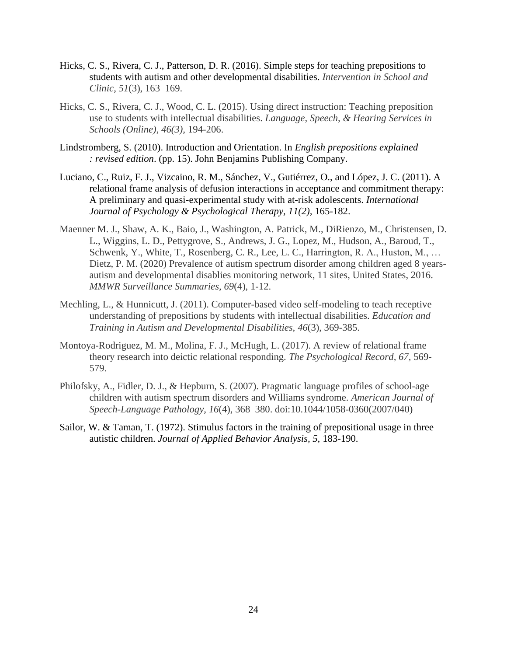- Hicks, C. S., Rivera, C. J., Patterson, D. R. (2016). Simple steps for teaching prepositions to students with autism and other developmental disabilities. *Intervention in School and Clinic*, *51*(3), 163–169.
- Hicks, C. S., Rivera, C. J., Wood, C. L. (2015). Using direct instruction: Teaching preposition use to students with intellectual disabilities. *Language, Speech, & Hearing Services in Schools (Online), 46(3),* 194-206.
- Lindstromberg, S. (2010). Introduction and Orientation. In *English prepositions explained : revised edition*. (pp. 15). John Benjamins Publishing Company.
- Luciano, C., Ruiz, F. J., Vizcaino, R. M., Sánchez, V., Gutiérrez, O., and López, J. C. (2011). A relational frame analysis of defusion interactions in acceptance and commitment therapy: A preliminary and quasi-experimental study with at-risk adolescents. *International Journal of Psychology & Psychological Therapy, 11(2),* 165-182.
- Maenner M. J., Shaw, A. K., Baio, J., Washington, A. Patrick, M., DiRienzo, M., Christensen, D. L., Wiggins, L. D., Pettygrove, S., Andrews, J. G., Lopez, M., Hudson, A., Baroud, T., Schwenk, Y., White, T., Rosenberg, C. R., Lee, L. C., Harrington, R. A., Huston, M., ... Dietz, P. M. (2020) Prevalence of autism spectrum disorder among children aged 8 yearsautism and developmental disablies monitoring network, 11 sites, United States, 2016. *MMWR Surveillance Summaries, 69*(4), 1-12.
- Mechling, L., & Hunnicutt, J. (2011). Computer-based video self-modeling to teach receptive understanding of prepositions by students with intellectual disabilities. *Education and Training in Autism and Developmental Disabilities, 46*(3), 369-385.
- Montoya-Rodriguez, M. M., Molina, F. J., McHugh, L. (2017). A review of relational frame theory research into deictic relational responding. *The Psychological Record, 67,* 569- 579.
- Philofsky, A., Fidler, D. J., & Hepburn, S. (2007). Pragmatic language profiles of school-age children with autism spectrum disorders and Williams syndrome. *American Journal of Speech-Language Pathology*, *16*(4), 368–380. doi:10.1044/1058-0360(2007/040)
- Sailor, W. & Taman, T. (1972). Stimulus factors in the training of prepositional usage in three autistic children. *Journal of Applied Behavior Analysis, 5,* 183-190.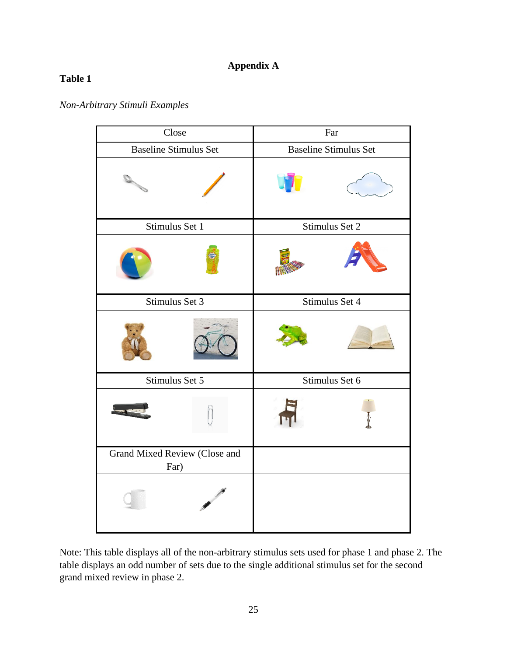## **Appendix A**

## **Table 1**

*Non-Arbitrary Stimuli Examples*

| Close                                 |                | Far                          |  |
|---------------------------------------|----------------|------------------------------|--|
| <b>Baseline Stimulus Set</b>          |                | <b>Baseline Stimulus Set</b> |  |
|                                       |                |                              |  |
| Stimulus Set 1                        |                | Stimulus Set 2               |  |
|                                       |                |                              |  |
|                                       | Stimulus Set 3 | Stimulus Set 4               |  |
|                                       |                |                              |  |
| Stimulus Set 5                        |                | Stimulus Set 6               |  |
|                                       |                |                              |  |
| Grand Mixed Review (Close and<br>Far) |                |                              |  |
|                                       |                |                              |  |

Note: This table displays all of the non-arbitrary stimulus sets used for phase 1 and phase 2. The table displays an odd number of sets due to the single additional stimulus set for the second grand mixed review in phase 2.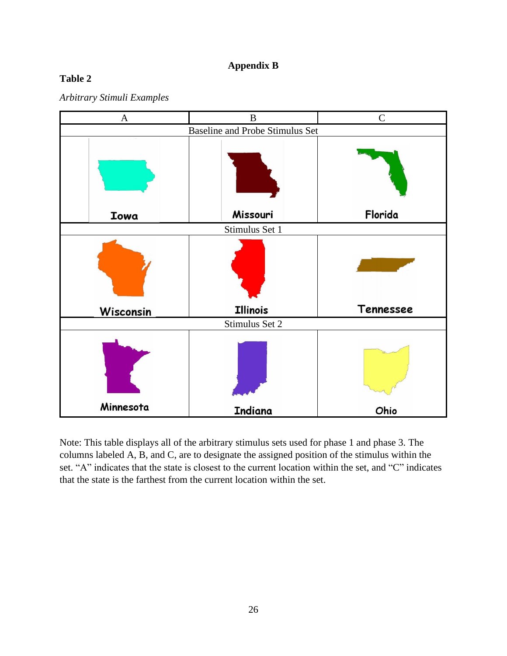## **Appendix B**

## **Table 2**





Note: This table displays all of the arbitrary stimulus sets used for phase 1 and phase 3. The columns labeled A, B, and C, are to designate the assigned position of the stimulus within the set. "A" indicates that the state is closest to the current location within the set, and "C" indicates that the state is the farthest from the current location within the set.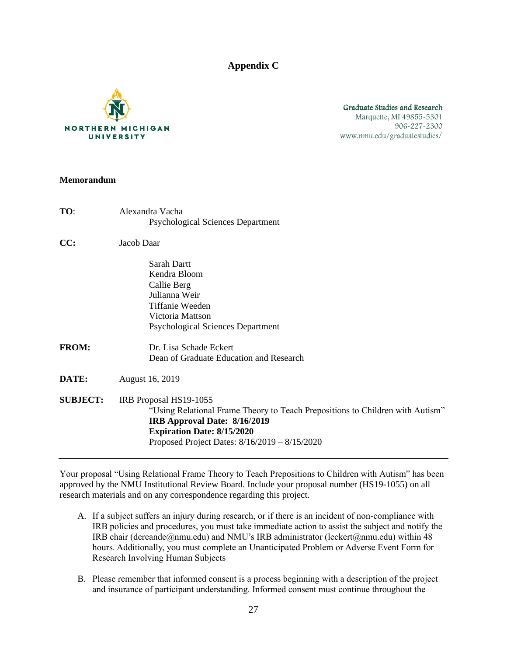**Appendix C**



#### Graduate Studies and Research Marquette, MI 49855-5301 906-227-2300 www.nmu.edu/graduatestudies/

#### **Memorandum**

| TO:             | Alexandra Vacha                                                               |
|-----------------|-------------------------------------------------------------------------------|
|                 | <b>Psychological Sciences Department</b>                                      |
| CC:             | Jacob Daar                                                                    |
|                 | Sarah Dartt                                                                   |
|                 | Kendra Bloom                                                                  |
|                 | Callie Berg                                                                   |
|                 | Julianna Weir                                                                 |
|                 | <b>Tiffanie Weeden</b>                                                        |
|                 | Victoria Mattson                                                              |
|                 | <b>Psychological Sciences Department</b>                                      |
| <b>FROM:</b>    | Dr. Lisa Schade Eckert                                                        |
|                 | Dean of Graduate Education and Research                                       |
| DATE:           | August 16, 2019                                                               |
| <b>SUBJECT:</b> | IRB Proposal HS19-1055                                                        |
|                 | "Using Relational Frame Theory to Teach Prepositions to Children with Autism" |
|                 | IRB Approval Date: 8/16/2019                                                  |
|                 | <b>Expiration Date: 8/15/2020</b>                                             |
|                 | Proposed Project Dates: 8/16/2019 - 8/15/2020                                 |
|                 |                                                                               |

Your proposal "Using Relational Frame Theory to Teach Prepositions to Children with Autism" has been approved by the NMU Institutional Review Board. Include your proposal number (HS19-1055) on all research materials and on any correspondence regarding this project.

- A. If a subject suffers an injury during research, or if there is an incident of non-compliance with IRB policies and procedures, you must take immediate action to assist the subject and notify the IRB chair (dereande@nmu.edu) and NMU's IRB administrator (leckert@nmu.edu) within 48 hours. Additionally, you must complete an Unanticipated Problem or Adverse Event Form for Research Involving Human Subjects
- B. Please remember that informed consent is a process beginning with a description of the project and insurance of participant understanding. Informed consent must continue throughout the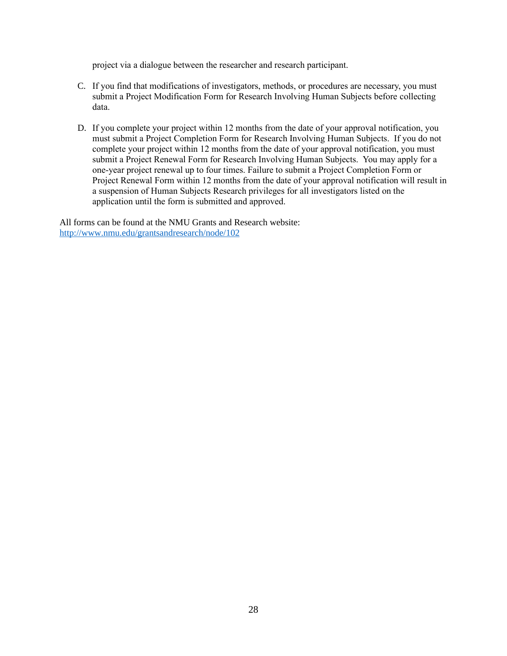project via a dialogue between the researcher and research participant.

- C. If you find that modifications of investigators, methods, or procedures are necessary, you must submit a Project Modification Form for Research Involving Human Subjects before collecting data.
- D. If you complete your project within 12 months from the date of your approval notification, you must submit a Project Completion Form for Research Involving Human Subjects. If you do not complete your project within 12 months from the date of your approval notification, you must submit a Project Renewal Form for Research Involving Human Subjects. You may apply for a one-year project renewal up to four times. Failure to submit a Project Completion Form or Project Renewal Form within 12 months from the date of your approval notification will result in a suspension of Human Subjects Research privileges for all investigators listed on the application until the form is submitted and approved.

All forms can be found at the NMU Grants and Research website: <http://www.nmu.edu/grantsandresearch/node/102>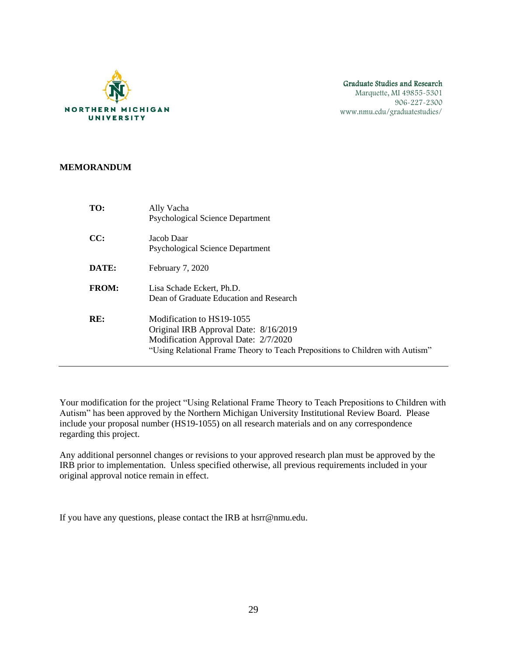

#### Graduate Studies and Research Marquette, MI 49855-5301 906-227-2300 www.nmu.edu/graduatestudies/

#### **MEMORANDUM**

| TO:          | Ally Vacha<br><b>Psychological Science Department</b>                                                                                                                                       |
|--------------|---------------------------------------------------------------------------------------------------------------------------------------------------------------------------------------------|
| CC:          | Jacob Daar<br><b>Psychological Science Department</b>                                                                                                                                       |
| DATE:        | February 7, 2020                                                                                                                                                                            |
| <b>FROM:</b> | Lisa Schade Eckert, Ph.D.<br>Dean of Graduate Education and Research                                                                                                                        |
| RE:          | Modification to HS19-1055<br>Original IRB Approval Date: 8/16/2019<br>Modification Approval Date: 2/7/2020<br>"Using Relational Frame Theory to Teach Prepositions to Children with Autism" |

Your modification for the project "Using Relational Frame Theory to Teach Prepositions to Children with Autism" has been approved by the Northern Michigan University Institutional Review Board. Please include your proposal number (HS19-1055) on all research materials and on any correspondence regarding this project.

Any additional personnel changes or revisions to your approved research plan must be approved by the IRB prior to implementation. Unless specified otherwise, all previous requirements included in your original approval notice remain in effect.

If you have any questions, please contact the IRB at hsrr@nmu.edu.